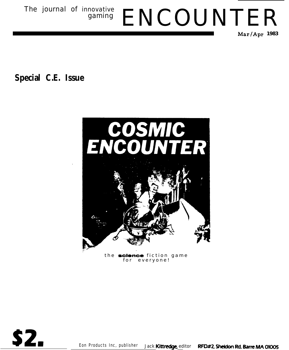The journal of innovative<br>gaming ENCOUNTER **Mar/Apr 1983**

**Special C.E. Issue**



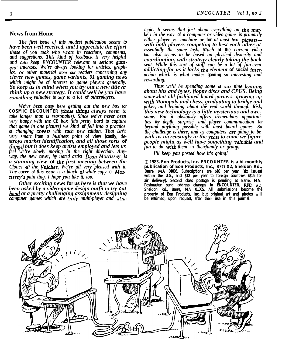# **News from Home**

*The first issue of this modest publication seems to have been well received, and I appreciate the effort those of you took who wrote in reactions, comments, and suggestions. This kind of feedback is very helpful and can keep ENCOUNTER relevant to serious gamers' interests. We're always looking for articles, graphics, OI other material from our readers concerning any clever new games, game variants, 01 gaming news which might be of interest to game players generally. So keep us in mind when you try out a new title OI think up a new strategy. It could well be you have something valuable to say to a lot* **of** *otherplayers.*

*We've been busy here getting out the new box* **for COSMIC ENCOUNTER (these things** *always seem to take longer than is reasonable). Since we've never been very happy with the* **CE** *box (it's pretty hard to capture that game in one picture) we kind* **of** *fell into a practice* of *changing covers* with each new edition. That isn't *very smart* **from** *a business point* **of view (costly,** *destroys market identification, and all those sorts* **of** *things) but it does keep artists employed and lets us feel we're slowly moving in the right direction. Anyway, the new cover, by noted artist Dean Mom'ssey, is a stunning view* **of** *the first meeting between the Clones d the Vulches. We're all very pleased with it. The cover* **of** *this issue is a black & white copy* **of** *MOIn'ssey's pain ting. I hope you like it, too.*

*Other exciting news* **for us** *here is that we have been asked by a video-game design outfit to try OUI hand at a pretty challenging assignment: designing computer games which are tmly multi-player and stra-* *tegic. It seems that just about everything on the marke t in the way* **of** *a computer or video game* **is** *primarily either player vs. machine or* **for** *at most two playerswith both players competing to best each other at essentially the same task. Much* **of the** *current video fare also seems to be based on physical dexterity and coordination. with strategy clearly taking the back seat. While this sort of stuff can be a lot of fun-even addicting-for us it lacks the element* **of social** *interaction which is what makes* **gaming** *so interesting and rewarding.*

*Thus we'll be spending some* **of** *our time leaming about bits and bytes, floppy discs and CPUS. Being somewhat old-fashioned board-garners, growing up with Monopoly and chess, graduating to bridge and poker, and 1eaming about the real world through Risk, this new technology is a little mysterious and awesome. But it obviously offers tremendous opportunities for depth, surprise, and player communication* **far** *beyond anything possible with most board games. So the challenge is there, and as computers are going to be with us increasingly in the years to come we figure people might as well have something valuable and fun to do with them in theirfamily or group.*

*I'll keep you posted how it's going!*

**0 1983, Eon Products, Inc.** *ENCOUNTER* **is a bi-monthly publication of Eon Products, Inc., RFD X2, Sheldon Rd., Barre, MA 01005. Subscriptions are \$10 per year (six issues) within the U.S., and \$12 per year to foreign countries (\$15 for air delivery). Second class postage is pending at Barre, MA. Postmaster: send address changes to** *ENCOUNTER,* **RFD #2, Sheldon Rd., Barre, MA 01005. All submissions become the property of Eon Products, Inc. but original art and photos will be returned, upon request, after their use in this journal.**

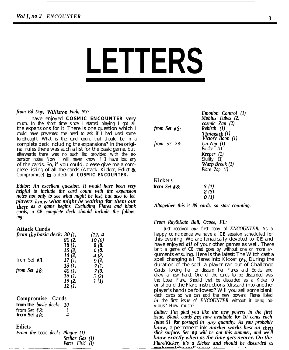# **LETTERS**

# *from Ed Day, Williston Park, NY:*

I have enjoyed **COSMIC ENCOUNTER very** much. In the short time since I started playing I got all the expansions for it. There is one question which I could have prevented the need to ask if I had used some forethought. What is the card count that should be in a complete deck including the expansions? In the original rules there was such a list for the basic game, but afterwards there was no such list provided with the expansion notes. Now I will never know if 1 have lost any of the cards. So, if you could, please give me a complete listing of all the cards (Attack, Kicker, Edict  $\&$ Compromise) **in** a deck of **COSMIC ENCOUNTER.**

*Editor: An excellent question. It would have been very helpful to include the card count with the expansion notes not only to see what might be lost, but also to let players know what might be waiting for them out there as a game begins. Excluding Flares and blank cards, a* **CE** *complete deck should include the following:*

# **Attack Cards**

| from the basic deck: $30(1)$ |        | $(12)$ 4 |
|------------------------------|--------|----------|
|                              | 20 (2) | 10(6)    |
|                              | 18(1)  | 8(8)     |
|                              | 15 (2) | 6(8)     |
|                              | 14 (2) | 4 (2)    |
| from Set $#3$ :              | 17(1)  | 9(2)     |
|                              | 13(1)  | 7(1)     |
| from Set $#8$ :              | 40(1)  | 7(3)     |
|                              | 16(1)  | 5(2)     |
|                              | 15(2)  | 1(1)     |
|                              | 12(1)  |          |

**Compromise Cards** *from the basic deck: 10* from Set *#3: <sup>1</sup> from Set #8: 4*

# **Edicts**

*From the* basic *deck: Plague (1) Stellar Gas (1) Force Field (1)*

| from Set #3:        | <b>Emotion Control</b> (1)<br>Mobius Tubes (2)<br>cosmic Zap $(2)$<br>$Rebirth$ (1)<br>$Timegash (1)$<br>Victory Boon (1) |
|---------------------|---------------------------------------------------------------------------------------------------------------------------|
| <i>from</i> Set X8: | $Un-Zap$ (1)<br>Finder $(1)$<br><i>Keeper</i> $(1)$<br>Slulity (1)<br><b>Warp Break</b> $(1)$<br>Flare $\text{Zap}$ (1)   |
| Kickers             |                                                                                                                           |
| from $Set$ #8:      | 3 (1)<br>2(3)<br>0 (1)                                                                                                    |

*Altogether this* is *89 cards, so start counting.*

# *From Ray&Kate Ball, Ocoee, FL:*

Just received *our* first copy of *ENCOUNTER.* As a happy coincidence we have a **CE** session scheduled for this evening. We are fanatically devoted to **CE** and have enjoyed *all* of your other games as well. There isn't a game of **CE** that goes by without one or more arguments ensuing. Here is the latest: The Witch cast a spell changing all Flares into Kicker  $0's$ . During the duration of the spell a player ran out of Challenge Cards, forcing her to discard her Flares and Edicts and draw a new hand. One of the cards to be discarded was the Loser Flare. Should that be discarded as a Kicker 0 or should the Flare instructions (discard into another player's hand) be followed? Will you sell some blank deck cards so we can add the new powers' Flares listed *in* the first issue of *ENCOUNTER* without it being obvious? How much?

*Editor: I'm glad you like the new powers in the first issue. Blank cards are now available for 10 cents each (plus \$1 for postage) in any quantity. As you probably know,* a permanent ink *marker works best on their slick surface. Set #9 will be out this summer, and we'll know exactly when as the time gets nearer. On the Flare/Kicker, it's a Kicker and should be discarded* as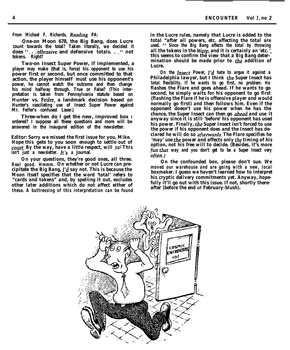*From Michael F. Richards, Reading PA:*

**One-on Moon 678, the Big Bang, does Lucre count towards the total? Taken literally, we decided it does 'I. . .offensive and defensive** *totals.* **. ." not tokens. Right?**

**Two-on Insect Super Power, if implemented, a player may make (that is, force) his opponent to use his power first or second, but once committed to that action, the player himself** *must* **use his opponent's power, he cannot watch the outcome and then change his mind halfway through. True or False? (This interpretation is taken from Pennsylvania statute based on Hunter vs. Feifer, a landmark decision based on Hunter's vascilating use of Insect Super Power against Mr. Feifer's confused Laser.)**

**Three-when do I get the new, improved box I ordered? I suppose all these questions and more will be answered in the inaugural edition of the newsletter.**

*Editor: Sorry we missed the first issue for you, Mike. Hope this* **gets** *to* **you soon** *enough to settle out of court. By the way, have a little respect, will ya! This isn't just a newsletter. It's a* **Journal.**

*On your questions, they're good ones, all three. Real good. Hmmm. On whether or not Lucre can pre***cipitate the** *Big Bang, I'd say not. This is because the Moon itself specifies that the word 'total' refers to "cards and tokens" and, by spelling it out, excludes other later additions which do not affect either of these. A buttressing of this interpretation can be found* *in the Lucre rules, namely that Lucre is added to the total "after all powers, etc. affecting the total are used. " Since the Big Bang affects the total by throwing all the tokens in the Warp, and it is certainly an 'etc. ', this seems to confirm the view that a Big Bang determination should be made prior to the addition of Lucre.*

*On the Insect Power, I'd hate to argue it against a Philadelphia lawyer, but I think the Super Insect has total flexibility. If he wants to go first, no problem. He flashes the Flare and goes ahead. If he wants to go second, he simply waits for his opponent to go first (flashing the Flare if he is offensive player and would normally go first) and then follows him. Even if the opponent doesn't use his power when he has the chance, the Super Insect can then go abead and use* **it** *anyway since it is still 'before' his opponent has used his power. Finally, the Super Insect isn't forced to use the power if his opponent does and the Insect has declared he will do so aftexwards. The Flare specifies he 'may' use the power and affects only the timing of his option, not his free will to decide. (Besides, it's more fun that way and you don't get to be a Super Insect very often.* 

*On the confounded box, please don't sue. We moved our warehouse and are going with a new, local boxmaker. I guess we haven't learned how to interpret his cryptic delivery commitments yet. Anyway, hopefully it'll go out with this issue. If not, shortly thereafter (before the end* **of** *February-blush).*

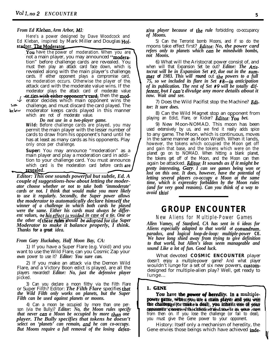# *From Ed Klebm, Arm Arbor, MI:*

Here's a power designed by Dave Woodcock and Ed Kleban, inspired by Mark Miller and Douglas Hof stadter. The Moderator

You have the power of moderation. When you are not a main player, you may announced "**modera**tion" before challenge cards are revealed. You must then play an attack card face down, which is revealed along with the main player's challenge cards. If either opponent plays a compromise card, no moderation occurs. Otherwise the player of the attack card with the moderate value wins. If the moderator plays the attack card of moderate value or ties with either opponent's card, then the mod-

erator decides which main opponent wins the

**ZW**

c

challenge, and must discard the card played. The moderator keeps cards played in this manner which are not of moderate value.

*Do not use in a two-player game.* **Wild:** Before challenge cards are played, you may permit the main player with the lesser number of cards to draw from his opponent's hand until he has at least as many cards as his opponents. Play only once per challenge.

**Super:** You may announce "moderation" as a main player and play a moderation card in addition to your challenge card. You must announce which card is the moderation card before cards **are** 

Frator de<br>
example the challenge<br>
which are<br>
which are<br>
which are<br>
which are<br>
which cards to c<br>
has at lea<br>
only once<br>
Super: Y<br>
main play<br>
tion to yc<br>
which cards<br>
Editor: This is<br>
couple of sug<br>
ator choose w<br>
cards or n *Editor: This one sounds powerful but subtle, Ed. A couple of suggestions-how about letting the moderator choose whether or not to take both 'immoderate' cards or not. I think that would make you more likely to use it regularly. Secondly, the Super power allows the moderator to automatically declare himself the winner of a challenge in which both cards he played were the same. Either his cards must always be differ*ent values, or his effect is voided in case of a tie. One or *the other of these rules should be adopted for the Super Moderator to make it balance properly, I think. Thanks* **for a great** *idea.*

# *From Gary Huckabay, Half Moon Bay, CA:*

1) If you have a Super Flare (e.g. Void) and you want to use the Wild Flare, can you Cosmic Zap your *own* power to use it? *Editor: You sure can.*

2) If you make an attack via the Demon Wild Flare, and a Victory Boon edict is played, are all the players rewarded! *Editor: No, just the defensive player* picked.

3) Can you declare a moon filthy via the Filth Flare or Super Filth? Editor: **The Filth Flare** specifies that *the Wild Filth only works on planets, but the Super Filth can be used against planets or moons.*

4) Can a moon be occupied by more than one person (via the Bully)? *Editor: No, the Moon rules specify that never cun a Moon be occupied by more than one player. The Bully specifies that tokens he doesn't select on 'planets' can remain, aud he can co-occupy. But Moons require a full removal of the losing defen-*

sive *player because* **of** *the rule* forbidding co-occupancy *of Moons.*

5) Can the Terrorist bomb Moons, and if so do the moons take effect first? *Editor: No, the power card refers only to planets which cuu be minedwith bombs, not Moons.*

6) What will the Aristocrat power consist of, and when will that Expansion Set be out? *Editor: The Aristocrat will be in Expansion Set #9, due out in the sumrner* **of** *1983. This will* **round** out the *powers to a full 75, so we included its flare in Set #B--in anticipation of its publication. The rest of Set #9 will be totally different, but I cun\*t divulge any more details about it now. Wait and see.*

7) Does the Wild Pacifist stop the Machine? *Editor: It sure does.*

8) Can the Wild Magnet stop an opponent from playing an Edict, Flare, or Kicker? *Editor: You bet.* 

9) New Moon-NOMAD. This moon has been used extensively by us, and we find it really adds spice to any game. The Moon, which is continuous, moves in the same manner as Moon Wraith. When it lands, however, the tokens which occupied the Moon get off and gain that base, and the tokens which were on the planet go on to NOMAD. When hitting a blank planet, the tokens get off of the Moon, and the Moon can then again be attacked. *Editor: It sounds as if it might be pretty interesting, Gary I can see games being won or lost on this one. It does, however, have the potential of letting several players co-occupy a Moon at the same time, which is expressley forbidden by the Moon rules (and for very good reasons). Can you think of a way to avoid this!* Less cances they are the manner as Noon Wrath When it lands, the same manner as Noon Wrath Scottinuous, moves<br>however, the tokens which occupied the Moon get off and that base, and the tokens which occupied the Moon get of

# **GROUP ENCOUNTER**

# **New Aliens for Multiple-Power Games**

*Allen Vamey, of Stanford, CA has sent in 6 ideas for Aliens especially adapted to that world* **of** *conundnun, paradox, and logical loop-de-loop: multiple-power* **CE.** *We have long shied away from trying to give definition to that world, but Allen's ideas seem manageable and sound Like a lot of fun. Good luck.*

What devoted **COSMIC ENCOUNTER** player doesn't enjoy a multiple-power game? And what player wouldn't lunge for a set of six new powers, customdesigned for multiple-alien play? Well, get ready to lunge...

You have the *power* of heredity. In a multiplepower game, when you are a main player and you win the challenge (or make a deal), you inherit one of your opponent 's powers his choice during use it as your own from then on. If you lose the challenge (or fail to deal), you must give the Gene power to your opponent.

History: Itself only a mechanism of heredity, the Gene envies those beings which have achieved **inde**-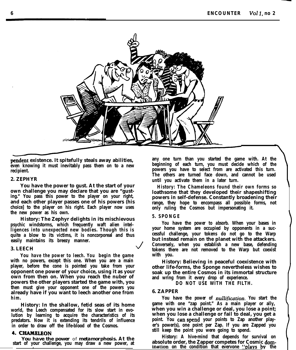

**pendent existence. It spitefully steals away abilities, even knowing it must inevitably pass them on to a new recipient.**

# **2. ZEPHYR**

**You have the power to gust. At the start of your own challenge you may declare that you are "gusting." You pass this power to the player on your right, and each other player passes one of his powers (his choice] to the player on his right. Each player now uses the new power as his own.**

**History: The Zephyr delights in its mischievous psychic windstorms, which frequently waft alien intelligences into unexpected new bodies. Though this is quite a blow to its victims, it is noncorporeal and thus easily maintains its breezy manner. J**

# **3. LEECH**

**You** *have the power to leech. You* **begin the game with no powers, except this one. When you are a main player, before the cone is pointed you take from your opponent one power of your choice, using it as your own from then on. When you reach the nuber of powers the other players started the game with, you then must give your opponent one of the powers you already have if you want to leech another one from him.**

**History: In the shallow, fetid seas of its home world, the Leech compensated for its slow start in evolution by learning to acquire the characteristics of its predators. Now it is extending its tendrils of influence in order to draw off the life-blood of the Cosmos.**

# **4. CHAMELEON**

**start of your challenge, you may draw a new power, at**

**any one turn than you started the game with. At the beginning of each turn, you must decide which of the powers you have to select from are activated this turn. The others are turned face down, and cannot be used until you activate them in a later turn.**

**History: The Chameleons found their own forms so loathsome that they developed their shapeshifting powers in self-defense. Constantly broadening their range, they hope to encompass all possible forms, not only ruling the Cosmos but impersonating it.**

## **5. SPONGE**

*You* **have the** *power to absorb.* **When your bases in your home system are occupied by opponents in a successful challenge, your tokens do not go to the Warp but instead remain on the planet with the attackers. Conversely, when you establish a new base, defending tokens there are not removed to the Warp but coexist with you.**

**History: Believing in peaceful coexistence with other life-forms, the Sponge nevertheless wishes to soak up the entire Cosmos in its immortal structure and wring from it every drop of experience.**

**DO NOT USE WITH THE FILTH.**

# **6. ZAPPER**

**You have the** *power of nullijication. You* **start the game with one "zap point." As a main player or ally, when you win a challenge or deal, you lose a point; when you lose a challenge or fail to deal, you get a point. You canspend your points to Zap another player's power(s), one point per Zap. If you are Zapped you still keep the point you were going to spend.**

**History: A hive-mind that depends for survival on** *absolute of metamorphosis.* At the *Thistory.* A *inverting that depends for survival on*  $\alpha$  *survival on*  $\alpha$  *f* vour challenge, you may draw a new power, at absolute order, the Zapper competes for Cosmic domination on the condition that everyone "plays by the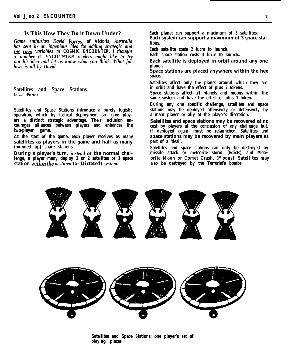# **Is This How They Do it Down Under?**

*Game enthusiast David Fones,* **of Victoria,** *Australia has sent in an ingenious idea* **for** *adding strategic and* **rut ticul** *variables to* **COSMIC ENCOUNTER. I** *thought a number* **of** *ENCOUNTER readers might like to try out his idea and let us know what you think. What follows is all by David.*

**Satellites and Space Stations** *David Forres*

**Satellites and Space Stations introduce a purely logistic operation, which by tactical deployment can give players a distinct strategic advantage. Their inclusion encourages alliances between players and enhances the two-player game.**

**At the start of the game, each player receives as many satellites as players in the game and half as many (rounded up] space stations.**

**During a player's turn,** *instead of* **the normal challenge, a player many deploy 1 or 2 satellites or 1 space station within the** *destined* **(or Dictated)** *system.*

**Each planet can support a maximum of 3 satellites. Each system can support a maximum of 3 space stations.**

**Each satellite costs 2 lucre to launch.**

**Each space station costs 3 lucre to launch..**

**Each satellite is deployed in orbit around any one planet.**

**Space stations are placed anywhere within the hex space.**

**Satellites affect only the planet around which they are in orbit and have the effect of plus 2 tokens.**

**Space stations affect all planets and moons within the same system and have the effect of plus 1 token.**

**During any one specific challenge, satellites and space stations may be deployed offensively or defensively by a main player or ally at the player's discretion.**

**Satellites and space stations may be recovered at no cost by players at the conclusion of any challenge but, if deployed again, must be relaunched. Satellites and space stations may be recovered by main players as part of a 'deal'.**

**Satellites and space stations can only be destroyed by missile attack or meteorite storm, (Edicts), and Meteorite Moon or Comet Crash, (Moons). Satellites may also be destroyed by the Terrorist's bombs.**



**Satellites and Space Stations: one player's set of playing pieces**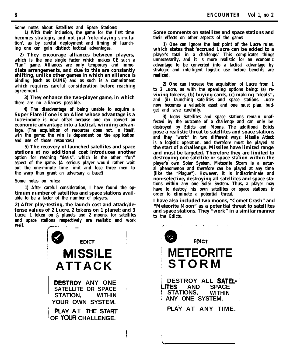**Some notes about Satellites and Space Stations:**

**1) With their inclusion, the game for the first time becomes strategic, and not just 'role-playing simulation', as by careful deployment and timing of launching one can gain distinct tactical advantages.**

**2) They encourage alliances between players, which is the one single factor which makes CE such a "fun" game. Alliances are only temporary and immediate arrangements, and due to this are constantly shifting, unlike other games in which an alliance is binding (such as DUNE) and as such is a commitment which requires careful consideration before reaching agreement.**

**3) They enhance the two-player game, in which there are no alliances possible.**

**4) The disadvantage of being unable to acquire a Super Flare if one is an Alien whose advantage is a Lucre-income is now offset because one can convert an economic advantage into a tactical, winning advantage. (The acquisition of resources does not, in itself, win the game: the win is dependent on the application and use of those resources.)**

**5) The recovery of launched satellites and space stations at no additional cost introduces another option for reaching "deals", which is the other "fun" aspect of the game. (A serious player would rather wait out the one-minute time limit and lose three men to the warp than grant an adversary a base!)**

**Some notes on rules:**

**1) After careful consideration, I have found the optimum number of satellites and space stations available to be a factor of the number of players.**

**2) After play-testing, the launch cost and attack/defense values of 2 Lucre, 2 tokens on 1 planet; and 3 Lucre, 1 token on 5 planets and 2 moons, for satellites and space stations respectively are realistic and work well.** *r* 



**Some comments on satellites and space stations and their effects on other aspects of the game:**

**1) One can ignore the last point of the Lucre rules, which states that 'accrued Lucre can be added to a player's total in a challenge.' This complicates things unnecessarily, and it is more realistic for an economic advantage to be converted into a tactical advantage by strategic and intelligent logistic use before benefits are realized.**

**2) One can increase the acquisition of Lucre from 1 to 2 Lucre, as with the spending options being: (a) reviving tokens, (b) buying cards, (c) making "deals", and (d) launching satellites and space stations. Lucre now becomes a valuable asset and one must plan, budget and save carefully.**

**3) Note: Satellites and space stations remain unaffected by the outcome of a challenge and can only be destroyed by Edicts and Moons. The additional Edicts pose a realistic threat to satellites and space stations and they "work" in two different ways: Missile Attack is a logistic operation, and therefore must be played at the start of a challenge. Missiles have limited range and must be targeted. Therefore they are limited to destroying one satellite or space station within the player's own Solar System. Meteorite Storm is a natural phenomenon and therefore can be played at any time (like the "Plague"). However, it is indiscriminate and non-selective, destroying all satellites and space stations within any one Solar System. Thus, a player may have to destroy his own satellites or space stations in order to eliminate a potential threat.**

**I have also included two moons, "Comet Crash" and "Meteorite Moon" as a potential threat to satellites and space stations. They "work" in a similar manner to the Edicts.**

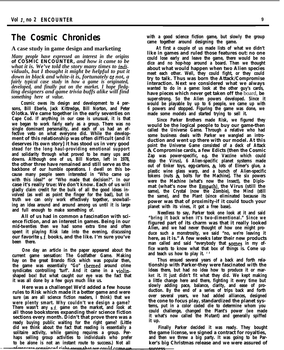# **The Cosmic Chronicles**

# **A case study in game design and marketing**

*Many people have expressed an interest in the origins* **of COSMIC ENCOUNTER,** *and how it came to be what it is. We've told the story many times to individuals, but I tbought it might be helpful to put it down in black and white-it is, fortunately or not, a fairly typical case study* **in** *how a game is originated, developed, and finally put on the market. I hope fledgling designers and game trivia buffs alike will find something here* **of** *value.*

**Cosmic owes its design and development to 4 persons, Bill Eberle, Jack Kittredge, Bill Norton, and Peter Olotka. We came together in the early seventies on Cape Cod. If anything in our case is unusual, it is that we began to work fairly early as a group. There was no single dominant personality, and each of us had an effective veto on what everyone did. While the development of this relationship was often difficult (and it deserves its own story] it has stood us in very good stead for the long haul-providing emotional support and solidarity through what proved to be many ups and downs. Although one of us, Bill Norton, left in 1978, the other three have remained and still serve as the backbone of our humble operations. I dwell on this because many people seem interested in "Who came up with this idea?" or "Who made that decision?". In our case it's really true: We don't know. Each of us will gladly claim credit for the bulk of all the good ideas involved (as well as point the finger for the bad), but in truth we can only work effectively together, snowballing an idea around and around among us until it is large and full enough to make something of.**

**All of us had in common a fascination with science fiction, and an interest in games. Being in our mid-twenties then we had some extra time and often spent it playing Risk late into the evening, discussing our favorite s.f. books, and the like. I'm sure you've been there.**

**One day an article in the paper appeared about the current game sensation: The Godfather Game. Making hay on the great Brando flick which was popular then, the game was essentially "Go" themed around crime syndicates controlling 'turf'. And it came in a violinshaped box! But what caught our eye was the fact that it was all done by a few guys much like us.**

**Here was a challenge! We'd added a few house rules to Risk which made it a better game and were sure (as are all science fiction readers, I think) that we were plenty smart. Why couldn't we design a game? There wasn't any s.f. game on the market, and look at all those bookstores expanding their science fiction sections every month. Didn't that prove there was a ready buying public waiting for the right game? (Little did we think about the fact that reading is essentially a solitaire activity, while gaming requires a group. Perhaps selling group activities to individuals who prefer to be alone is not an instant route to success.) Not all** atwe ware convinced right sweet that we could come up

**At first a couple of us made lists of what we didn't like in games and ruled those features out: no one could lose early and leave the game, there would be no dice and no hop-hop around a board. Then we thought about what would happen when two Alien species meet each other. Well, they could fight, or they could try to talk. Thus was born the Attack/Compromise interaction. Next we considered what we always wanted to do in a game: look at the other guy's cards, have pieces which never get taken off the** board, **be super-strong. So the Alien powers developed. Since it would be playable by up to 6 people, we came up with 6 powers and stopped. Figuring the game was done, we made some models and started trying to sell it.**

**Since Parker Brothers made Risk, we figured they would be the logical people to buy our game-then** called the Universe Game. Through a relative who had **some business deals with Parker we wangled an introduction and went up there with our model. At this point the Universe Game consisted of a deck of Attack h Compromise cards, a few Edicts (then the Cosmic Zap was power-specific, e.g. the Vaccine which could stop the Virus), 6 Alien-specific planet systems made out of tinker toys, egg-cartons, h lots of Elmer's glue, a plastic wine glass warp, and a bunch of Alien-specific tokens (nuts & bolts for the Machine]. The six powers were the Machine (what's now the Insect), the Diplomat (what's now the Empath), the Virus (still the same), the Crystal (now the Zombie), the Mind (still the same), and the Plant (since eliminated because its power was that of proximity-if it could touch your planet with its vines, it got a free base).**

**Needless to say, Parker took one look at it and said "bring it back when it's two-dimentional." Since we figured part of its charm was that it really looked Alien, and we had never thought of how one might produce such a monstrosity, we said "no, we're leaving it here, as it is." A few weeks later their new products man called and said "everybody that somes in my office wants to know what that box of things is. Come up and teach us how to play it. ' '**

**Thus ensued several years of a back and forth relationship with Parker-they were fascinated with the ideas there, but had no idea how to produce it or market it. It just didn't fit what they did. We kept making a little change here and there, fighting it every time but slowly adding pace, balance, clarity, and ease of production. By the end of a series of trips back and forth over several years, we had added alliances, designed the cone to focus play, standardized the planet systems, put in a color coded die to determine whom you could challenge, changed the Plant's power (we made it what's now called the Mutant) and generally spiffed it up.**

**Finally Parker decided it was ready. They bought the game license, we signed a contract for royalties, and then we threw a big party. It was going to be Parker's big Christmas release and we were assured of**92999412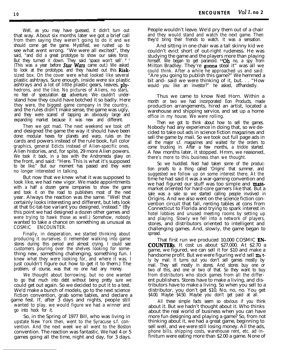Well, as you may have guessed, it didn't turn out that way. About six months later we got a brief call from them saying they weren't going to do it and we should come get the game. Mystified, we rushed up to see what went wrong. "We were all excited", they said, "and did a great prototype to show our sales force. But they turned it down. They said 'space won't sell'. ' (This was a year before **Star Wars** came out.) We asked to look at the prototype, and they hauled out this Risksized box. On the cover were what looked like several plastic ashtrays. Sure enough, inside were six plastic ashtrays and a lot of little plastic gears, leaves, plyhedrons, and the like. No pictures of Aliens, no stars, no feel of speculation **or** adventure. We couldn't understand how they could have botched it so badly. Here they were, the biggest game company in the country, and the rules didn't make sense, the game was ugly, and they were scared of tapping an obviously large and expanding market because it was new and different.

Then we got mad. The next weekend we took off and designed the game the way it should have been done: modular hexes for planets and warp, rules on the cards and powers instead of the rule book, full color graphics, general Edicts instead of Alien-specific ones, Alien histories, and, for spite, 29 more Alien powers. We took it back, in a box with the Andromeda glaxy on the front, and said: "Here. This is what it's supposed to be like." But our moment has passed and they were no longer interested in talking.

But now that we knew what it was supposed to look like, we had new vigor. We made appointments with a half a dozen game companies to show the game and took it on the road to publishers most of the next year. Always the reaction was the same. "Well that certainly looks interesting and different, but lets look at that tic-tat-toe variant you designed, instead." (By this point we had designed a dozen other games and were trying to hawk those as well.) Somehow, nobody wanted to take a chance on something as unusual as COSMIC ENCOUNTER.

Finally, in desperation, we started thinking about producing it ourselves. (I remember walking into game stores during this period and almost crying. I could see customers pouring over the shelves looking for something new, something challenging, something fun. I knew what they were looking for, and where it was. I just couldn't figure out how to get it to them.) The problem, of course, was that no one had any money.

We thought about borrowing, but no one wanted to go that much into debt without being pretty sure we could get out again. So we decided to put it to a test. We'd make a bunch of models, go to the next science fiction convention, grab some tables, and declare a game fest. If, after  $\tilde{3}$  days and nights, people still wanted to play, we would figure we had a winner and go into hock for it.

So, in the Spring of 1977 Bill, who was living in upstate New York then, went to the Syracuse s.f. convention. And the next week we all went to the Boston convention. The reaction was fantastic. We had 4 or 5 games going all the time, night and day, for 3 days.

People wouldn't leave. We'd pry them out of a chair and they would stand and watch the next game. Then they'd bring their friends to watch. It was a sensation.

And sitting in one chair was a tall skinny kid we couldn't evict short of out-right rudeness. He was studying the game and the players more than playing himself. We began to get paranoid. " $Oh$  no, a spy from Milton Bradley. They're gonna steal it" was all we could think. After a while he approached us and said: "Are you going to publish this game?" We hemmed a bit and- said we were thinking of it, but. . . "How would you like an investor?" he asked, offhandedly.

Thus we came to know Ned Horn. Within a month or two we had incorporated Eon Products, made production arrangements, hired an artist, located a warehouse and shipping service, and set up a home office in my house. We were rolling.

Then we got to think about how to sell the games. Nobody had any experience in doing that, so we decided to take out ads in science fiction magazines and sell the game by mail. So we took out full page ads in all the major s.f. magazines and waited for the orders to come trucking in. After a few months, a trickle started. A few months later, it stopped. Hmm, we reasoned, there's more to this business than we thought.

So we huddled. Ned had taken some of the production proofs to a thing called 'Origins' that summer, and suggested we follow up on some interest there. At the time he had said it was a war-gaming convention and we had figured our stuff was too simple and **mass**market oriented for hard-core garners like that. But a sale was a sale so we started calling people involved in Origins. And we also went on the science fiction convention circuit that fall, renting tables at cons from Connecticut to Florida and trying to spark interest in hotel lobbies and unused meeting rooms by setting up and playing. Slowly we fell into a network of players, stores, and distributors oriented to intelligent and challenging games. And, slowly, the game began to spread.

That first run we produced 10,000 COSMIC **EN**-COUNTERs. It cost us about \$27,000. At \$2.70 a game, we figured, we can sell it for \$10 and make a handsome profit. But we were figuring we'd sell  $m_1$  tly by mail. It turns out you don't sell games mostly by mail. They sell mostly in stores. And stores buy one or two of this, and one or two of that. So they want to buy from distributors who stock games from all the different publishers. Stores have to make a living, and distributors have to make a living. So when you sell to a distributor, you don't get \$10. No, no, no. You get \$4.00. Maybe \$4.50. Maybe you don't get paid at all.

All these simple facts seem so obvious if you think about it. But we hadn't thought about it. Who thinks about the real world of business when you can have more fun designing and playing a game? So, from not thinking about it, we had a great game, beginning to sell well, and we were still losing money. All the ads, phone bills, shipping costs, warehouse rent, etc. ad infinitum were eating more than \$2.00 a game. None of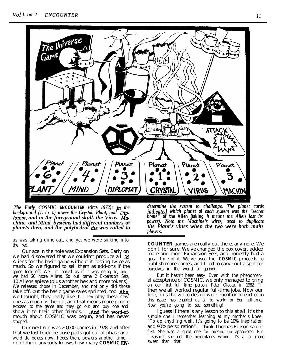

*The Early COSMIC* **ENCOUNTER** (circa *1972): In the background (1. to I.) tower the Crystal, Plant, and Diplomat. and in the foreground skulk the Virus, Machine, and Mind. Systems had different numbers* **of** *planets then, and the polyhedral die was rolled to*

us was taking dime out, and yet we were sinking into the red.

Our ace in the hole was Expansion Sets. Early on we had discovered that we couldn't produce all 35 Aliens for the basic game without it costing twice as much. So we figured to sell them as add-ons if the game took off. Well, it looked as if it was going to, and we had 20 more Aliens. So out came 2 Expansion Sets, 10 Aliens apiece (plus another hex and more tokens]. We released those in December, and not only did those take off, but the basic game sales sprinted, too. Aha, we thought, they really like it. They play these new ones as much as the old, and that means more people exposed to the game and they go out and buy one and show it to their other friends. . . And the word-ofmouth about COSMIC was begun, and has never stopped.

Our next run was 20,000 games in 1978, and after that we lost track because parts got out of phase and we'd do boxes now, hexes then, powers another time. I don't think anybody knows how many **COSMIC EN-**

*determine the system to challenge. The planet cards indicnted which planet* **of** *each system was the "secret home"* **of the Alien (taking** *it meant the Alien lost its power). Note the Machine's wires, used to duplicate the Plant's vines when the two were both main players.*

**COUNTER** games are really out there, anymore. We don't, for sure. We've changed the box cover, added more and more Expansion Sets, and honestly had a great time of it. We've used the **COSMIC** proceeds to publish more games, and tried to carve out a spot for ourselves in the world of gaming.

But it hasn't been easy. Even with the phenomenal acceptance of COSMIC, we only managed to bring on our first full time person, Peter Olotka, in 1982. Till then we all worked regular full-time jobs. Now our line, plus the video design work mentioned earlier in this issue, has enabled us all to work for Eon full-time. Now you're going to see something!

I guess if there is any lesson to this at all, it's the simple one I remember learning at my mother's knee: "To do anything well, it's going to be 10% inspiration and 90% perspiration". I think Thomas Edison said it first. She was a great one for picking up aphorisms. But I suspect she got the percentages wrong. It's a lot more sweat than that.